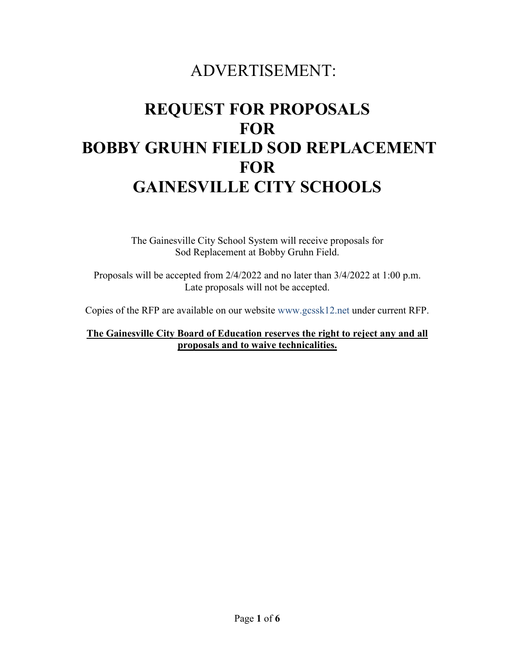## ADVERTISEMENT:

# **REQUEST FOR PROPOSALS FOR BOBBY GRUHN FIELD SOD REPLACEMENT FOR GAINESVILLE CITY SCHOOLS**

The Gainesville City School System will receive proposals for Sod Replacement at Bobby Gruhn Field.

Proposals will be accepted from 2/4/2022 and no later than 3/4/2022 at 1:00 p.m. Late proposals will not be accepted.

Copies of the RFP are available on our website www.gcssk12.net under current RFP.

**The Gainesville City Board of Education reserves the right to reject any and all proposals and to waive technicalities.**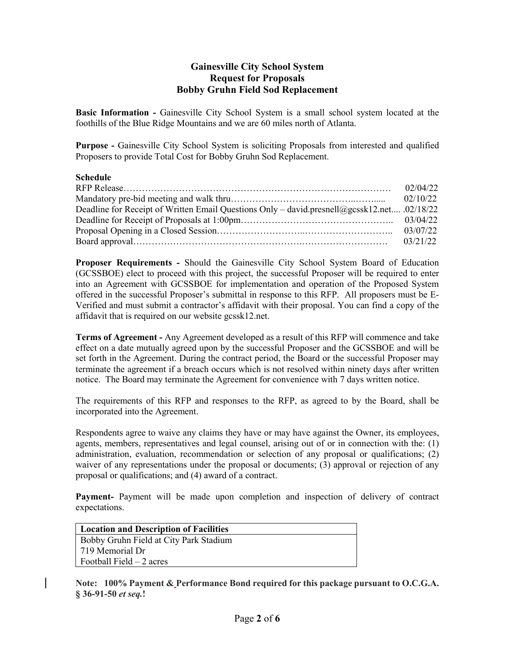#### **Gainesville City School System Request for Proposals Bobby Gruhn Field Sod Replacement**

**Basic Information -** Gainesville City School System is a small school system located at the foothills of the Blue Ridge Mountains and we are 60 miles north of Atlanta.

**Purpose -** Gainesville City School System is soliciting Proposals from interested and qualified Proposers to provide Total Cost for Bobby Gruhn Sod Replacement.

#### **Schedule**

|                                                                                             | 02/04/22 |
|---------------------------------------------------------------------------------------------|----------|
|                                                                                             |          |
| Deadline for Receipt of Written Email Questions Only – david.presnell@gcssk12.net .02/18/22 |          |
|                                                                                             |          |
|                                                                                             |          |
|                                                                                             |          |

**Proposer Requirements -** Should the Gainesville City School System Board of Education (GCSSBOE) elect to proceed with this project, the successful Proposer will be required to enter into an Agreement with GCSSBOE for implementation and operation of the Proposed System offered in the successful Proposer's submittal in response to this RFP. All proposers must be E-Verified and must submit a contractor's affidavit with their proposal. You can find a copy of the affidavit that is required on our website gcssk12.net.

**Terms of Agreement -** Any Agreement developed as a result of this RFP will commence and take effect on a date mutually agreed upon by the successful Proposer and the GCSSBOE and will be set forth in the Agreement. During the contract period, the Board or the successful Proposer may terminate the agreement if a breach occurs which is not resolved within ninety days after written notice. The Board may terminate the Agreement for convenience with 7 days written notice.

The requirements of this RFP and responses to the RFP, as agreed to by the Board, shall be incorporated into the Agreement.

Respondents agree to waive any claims they have or may have against the Owner, its employees, agents, members, representatives and legal counsel, arising out of or in connection with the: (1) administration, evaluation, recommendation or selection of any proposal or qualifications; (2) waiver of any representations under the proposal or documents; (3) approval or rejection of any proposal or qualifications; and (4) award of a contract.

**Payment-** Payment will be made upon completion and inspection of delivery of contract expectations.

| Location and Description of Facilities |
|----------------------------------------|
| Bobby Gruhn Field at City Park Stadium |
| 719 Memorial Dr                        |
| Football Field $-2$ acres              |

**Note: 100% Payment & Performance Bond required for this package pursuant to O.C.G.A. § 36-91-50** *et seq.***!**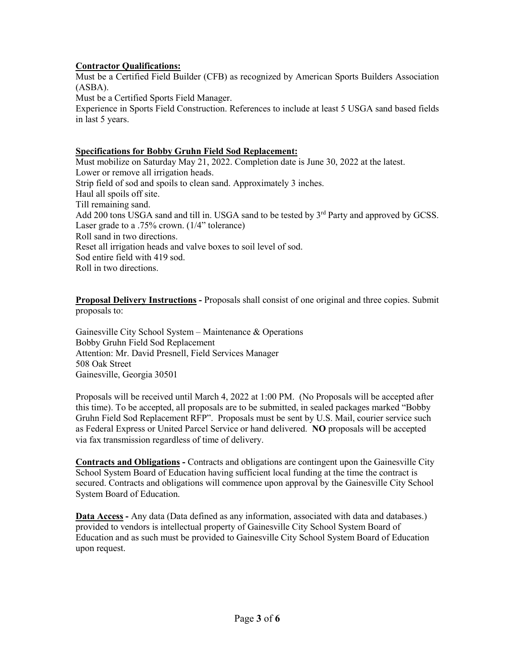#### **Contractor Qualifications:**

Must be a Certified Field Builder (CFB) as recognized by American Sports Builders Association (ASBA).

Must be a Certified Sports Field Manager.

Experience in Sports Field Construction. References to include at least 5 USGA sand based fields in last 5 years.

#### **Specifications for Bobby Gruhn Field Sod Replacement:**

Must mobilize on Saturday May 21, 2022. Completion date is June 30, 2022 at the latest. Lower or remove all irrigation heads. Strip field of sod and spoils to clean sand. Approximately 3 inches. Haul all spoils off site. Till remaining sand. Add 200 tons USGA sand and till in. USGA sand to be tested by 3<sup>rd</sup> Party and approved by GCSS. Laser grade to a .75% crown. (1/4" tolerance) Roll sand in two directions. Reset all irrigation heads and valve boxes to soil level of sod. Sod entire field with 419 sod. Roll in two directions.

**Proposal Delivery Instructions -** Proposals shall consist of one original and three copies. Submit proposals to:

Gainesville City School System – Maintenance & Operations Bobby Gruhn Field Sod Replacement Attention: Mr. David Presnell, Field Services Manager 508 Oak Street Gainesville, Georgia 30501

Proposals will be received until March 4, 2022 at 1:00 PM. (No Proposals will be accepted after this time). To be accepted, all proposals are to be submitted, in sealed packages marked "Bobby Gruhn Field Sod Replacement RFP". Proposals must be sent by U.S. Mail, courier service such as Federal Express or United Parcel Service or hand delivered. **NO** proposals will be accepted via fax transmission regardless of time of delivery.

**Contracts and Obligations -** Contracts and obligations are contingent upon the Gainesville City School System Board of Education having sufficient local funding at the time the contract is secured. Contracts and obligations will commence upon approval by the Gainesville City School System Board of Education.

**Data Access -** Any data (Data defined as any information, associated with data and databases.) provided to vendors is intellectual property of Gainesville City School System Board of Education and as such must be provided to Gainesville City School System Board of Education upon request.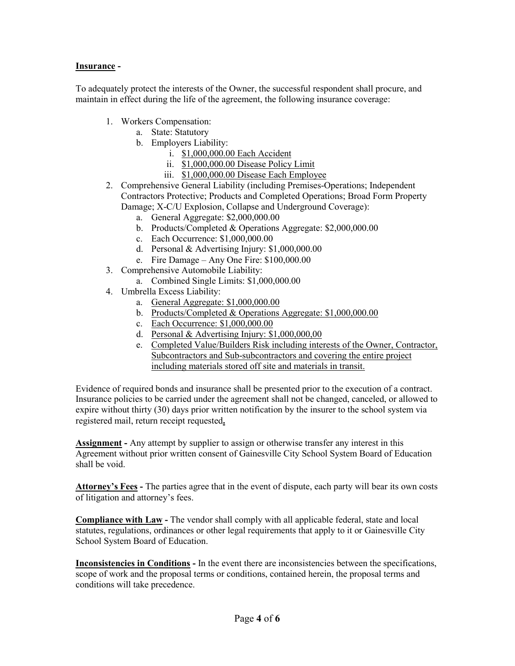#### **Insurance -**

To adequately protect the interests of the Owner, the successful respondent shall procure, and maintain in effect during the life of the agreement, the following insurance coverage:

- 1. Workers Compensation:
	- a. State: Statutory
	- b. Employers Liability:
		- i. \$1,000,000.00 Each Accident
		- ii. \$1,000,000.00 Disease Policy Limit
		- iii. \$1,000,000.00 Disease Each Employee
- 2. Comprehensive General Liability (including Premises-Operations; Independent Contractors Protective; Products and Completed Operations; Broad Form Property Damage; X-C/U Explosion, Collapse and Underground Coverage):
	- a. General Aggregate: \$2,000,000.00
	- b. Products/Completed & Operations Aggregate: \$2,000,000.00
	- c. Each Occurrence: \$1,000,000.00
	- d. Personal & Advertising Injury: \$1,000,000.00
	- e. Fire Damage Any One Fire: \$100,000.00
- 3. Comprehensive Automobile Liability:
	- a. Combined Single Limits: \$1,000,000.00
- 4. Umbrella Excess Liability:
	- a. General Aggregate: \$1,000,000.00
	- b. Products/Completed & Operations Aggregate: \$1,000,000.00
	- c. Each Occurrence: \$1,000,000.00
	- d. Personal & Advertising Injury: \$1,000,000,00
	- e. Completed Value/Builders Risk including interests of the Owner, Contractor, Subcontractors and Sub-subcontractors and covering the entire project including materials stored off site and materials in transit.

Evidence of required bonds and insurance shall be presented prior to the execution of a contract. Insurance policies to be carried under the agreement shall not be changed, canceled, or allowed to expire without thirty (30) days prior written notification by the insurer to the school system via registered mail, return receipt requested**.**

**Assignment -** Any attempt by supplier to assign or otherwise transfer any interest in this Agreement without prior written consent of Gainesville City School System Board of Education shall be void.

**Attorney's Fees -** The parties agree that in the event of dispute, each party will bear its own costs of litigation and attorney's fees.

**Compliance with Law -** The vendor shall comply with all applicable federal, state and local statutes, regulations, ordinances or other legal requirements that apply to it or Gainesville City School System Board of Education.

**Inconsistencies in Conditions -** In the event there are inconsistencies between the specifications, scope of work and the proposal terms or conditions, contained herein, the proposal terms and conditions will take precedence.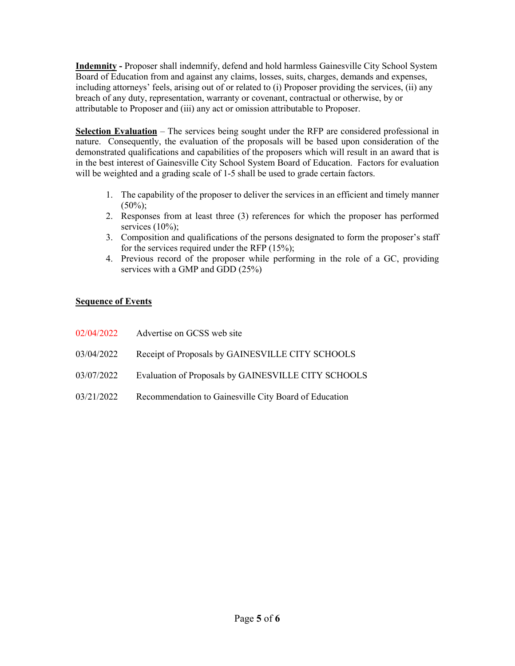**Indemnity -** Proposer shall indemnify, defend and hold harmless Gainesville City School System Board of Education from and against any claims, losses, suits, charges, demands and expenses, including attorneys' feels, arising out of or related to (i) Proposer providing the services, (ii) any breach of any duty, representation, warranty or covenant, contractual or otherwise, by or attributable to Proposer and (iii) any act or omission attributable to Proposer.

**Selection Evaluation** – The services being sought under the RFP are considered professional in nature. Consequently, the evaluation of the proposals will be based upon consideration of the demonstrated qualifications and capabilities of the proposers which will result in an award that is in the best interest of Gainesville City School System Board of Education. Factors for evaluation will be weighted and a grading scale of 1-5 shall be used to grade certain factors.

- 1. The capability of the proposer to deliver the services in an efficient and timely manner  $(50\%)$ ;
- 2. Responses from at least three (3) references for which the proposer has performed services (10%);
- 3. Composition and qualifications of the persons designated to form the proposer's staff for the services required under the RFP (15%);
- 4. Previous record of the proposer while performing in the role of a GC, providing services with a GMP and GDD (25%)

#### **Sequence of Events**

| 02/04/2022 | Advertise on GCSS web site                            |
|------------|-------------------------------------------------------|
| 03/04/2022 | Receipt of Proposals by GAINESVILLE CITY SCHOOLS      |
| 03/07/2022 | Evaluation of Proposals by GAINESVILLE CITY SCHOOLS   |
| 03/21/2022 | Recommendation to Gainesville City Board of Education |